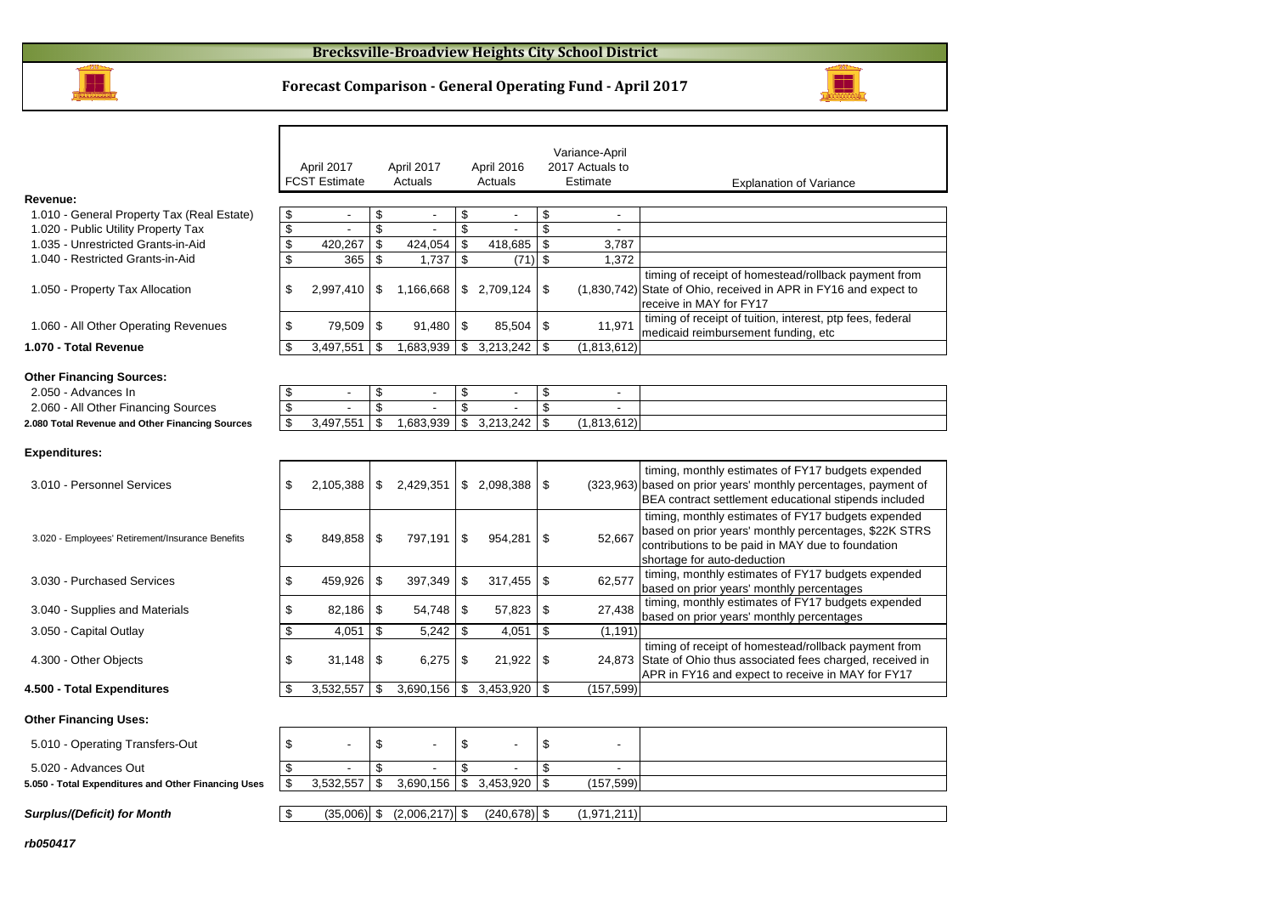#### **Brecksville-Broadview Heights City School District**



Г

### **Forecast Comparison - General Operating Fund - April 2017**

|                                                     |                          | April 2017<br><b>FCST Estimate</b> |                         | April 2017<br>Actuals |               | April 2016<br>Actuals    |                         | Variance-April<br>2017 Actuals to<br>Estimate | <b>Explanation of Variance</b>                                                                                                                                                                  |
|-----------------------------------------------------|--------------------------|------------------------------------|-------------------------|-----------------------|---------------|--------------------------|-------------------------|-----------------------------------------------|-------------------------------------------------------------------------------------------------------------------------------------------------------------------------------------------------|
| Revenue:                                            |                          |                                    |                         |                       |               |                          |                         |                                               |                                                                                                                                                                                                 |
| 1.010 - General Property Tax (Real Estate)          | \$                       | $\overline{\phantom{a}}$           | \$                      | $\blacksquare$        | \$            |                          | \$                      | $\overline{\phantom{a}}$                      |                                                                                                                                                                                                 |
| 1.020 - Public Utility Property Tax                 | \$                       | $\blacksquare$                     | $\sqrt{3}$              | $\blacksquare$        | \$            | $\overline{\phantom{a}}$ | \$                      | $\sim$                                        |                                                                                                                                                                                                 |
| 1.035 - Unrestricted Grants-in-Aid                  | \$                       | 420,267                            | \$                      | 424,054               | \$            | 418,685                  | \$                      | 3,787                                         |                                                                                                                                                                                                 |
| 1.040 - Restricted Grants-in-Aid                    | \$                       | 365                                | \$                      | 1,737                 | \$            | (71)                     | \$                      | 1,372                                         |                                                                                                                                                                                                 |
| 1.050 - Property Tax Allocation                     | \$                       | 2,997,410                          | \$                      | 1,166,668             |               |                          |                         |                                               | timing of receipt of homestead/rollback payment from<br>(1,830,742) State of Ohio, received in APR in FY16 and expect to<br>receive in MAY for FY17                                             |
| 1.060 - All Other Operating Revenues                | \$                       | 79,509                             | \$                      | 91,480                | \$            | 85,504                   | -\$                     | 11,971                                        | timing of receipt of tuition, interest, ptp fees, federal<br>medicaid reimbursement funding, etc                                                                                                |
| 1.070 - Total Revenue                               | \$                       | 3,497,551                          | \$                      | 1,683,939             | $\sqrt[6]{2}$ | 3,213,242                | \$                      | (1,813,612)                                   |                                                                                                                                                                                                 |
| <b>Other Financing Sources:</b>                     |                          |                                    |                         |                       |               |                          |                         |                                               |                                                                                                                                                                                                 |
| 2.050 - Advances In                                 | \$                       | $\sim$                             | \$                      | $\sim$                | \$            |                          | \$                      | $\overline{\phantom{a}}$                      |                                                                                                                                                                                                 |
| 2.060 - All Other Financing Sources                 | $\overline{\mathcal{E}}$ |                                    | $\overline{\mathbf{s}}$ |                       | \$            |                          | $\overline{\mathbf{s}}$ |                                               |                                                                                                                                                                                                 |
| 2.080 Total Revenue and Other Financing Sources     | \$                       | 3,497,551                          | \$                      | 1.683.939             | \$            | 3,213,242                | \$                      | (1,813,612)                                   |                                                                                                                                                                                                 |
| <b>Expenditures:</b>                                |                          |                                    |                         |                       |               |                          |                         |                                               |                                                                                                                                                                                                 |
| 3.010 - Personnel Services                          | \$                       | 2,105,388                          | \$                      | 2,429,351             |               | \$2,098,388              | \$                      |                                               | timing, monthly estimates of FY17 budgets expended<br>(323,963) based on prior years' monthly percentages, payment of<br>BEA contract settlement educational stipends included                  |
| 3.020 - Employees' Retirement/Insurance Benefits    | \$                       | 849,858                            | -\$                     | 797,191               | \$            | 954,281                  | \$                      | 52,667                                        | timing, monthly estimates of FY17 budgets expended<br>based on prior years' monthly percentages, \$22K STRS<br>contributions to be paid in MAY due to foundation<br>shortage for auto-deduction |
| 3.030 - Purchased Services                          | \$                       | 459,926                            | <b>S</b>                | 397,349               | \$            | 317,455                  | \$                      | 62,577                                        | timing, monthly estimates of FY17 budgets expended<br>based on prior years' monthly percentages                                                                                                 |
| 3.040 - Supplies and Materials                      | \$                       | 82,186                             | l \$                    | 54,748                | \$            | 57,823                   | \$                      | 27,438                                        | timing, monthly estimates of FY17 budgets expended<br>based on prior years' monthly percentages                                                                                                 |
| 3.050 - Capital Outlay                              | \$                       | 4,051                              | \$                      | 5,242                 | \$            | 4,051                    | \$                      | (1, 191)                                      |                                                                                                                                                                                                 |
| 4.300 - Other Objects                               | \$                       | 31,148                             | <b>S</b>                | 6,275                 | \$            | 21,922                   | \$                      |                                               | timing of receipt of homestead/rollback payment from<br>24,873 State of Ohio thus associated fees charged, received in<br>APR in FY16 and expect to receive in MAY for FY17                     |
| 4.500 - Total Expenditures                          | \$                       | 3,532,557                          | \$                      | 3,690,156             | \$            | 3,453,920                | \$                      | (157, 599)                                    |                                                                                                                                                                                                 |
| <b>Other Financing Uses:</b>                        |                          |                                    |                         |                       |               |                          |                         |                                               |                                                                                                                                                                                                 |
| 5.010 - Operating Transfers-Out                     | \$                       |                                    | \$                      |                       | \$            |                          | \$                      |                                               |                                                                                                                                                                                                 |
| 5.020 - Advances Out                                | \$                       |                                    | \$                      |                       | \$            |                          | \$                      |                                               |                                                                                                                                                                                                 |
| 5.050 - Total Expenditures and Other Financing Uses | \$                       | 3,532,557                          | \$                      | 3,690,156             | \$            | 3,453,920                | \$                      | (157, 599)                                    |                                                                                                                                                                                                 |
| <b>Surplus/(Deficit) for Month</b>                  | \$                       | $(35,006)$ \$                      |                         | $(2,006,217)$ \$      |               | $(240.678)$ \$           |                         | (1,971,211)                                   |                                                                                                                                                                                                 |

**rb050417**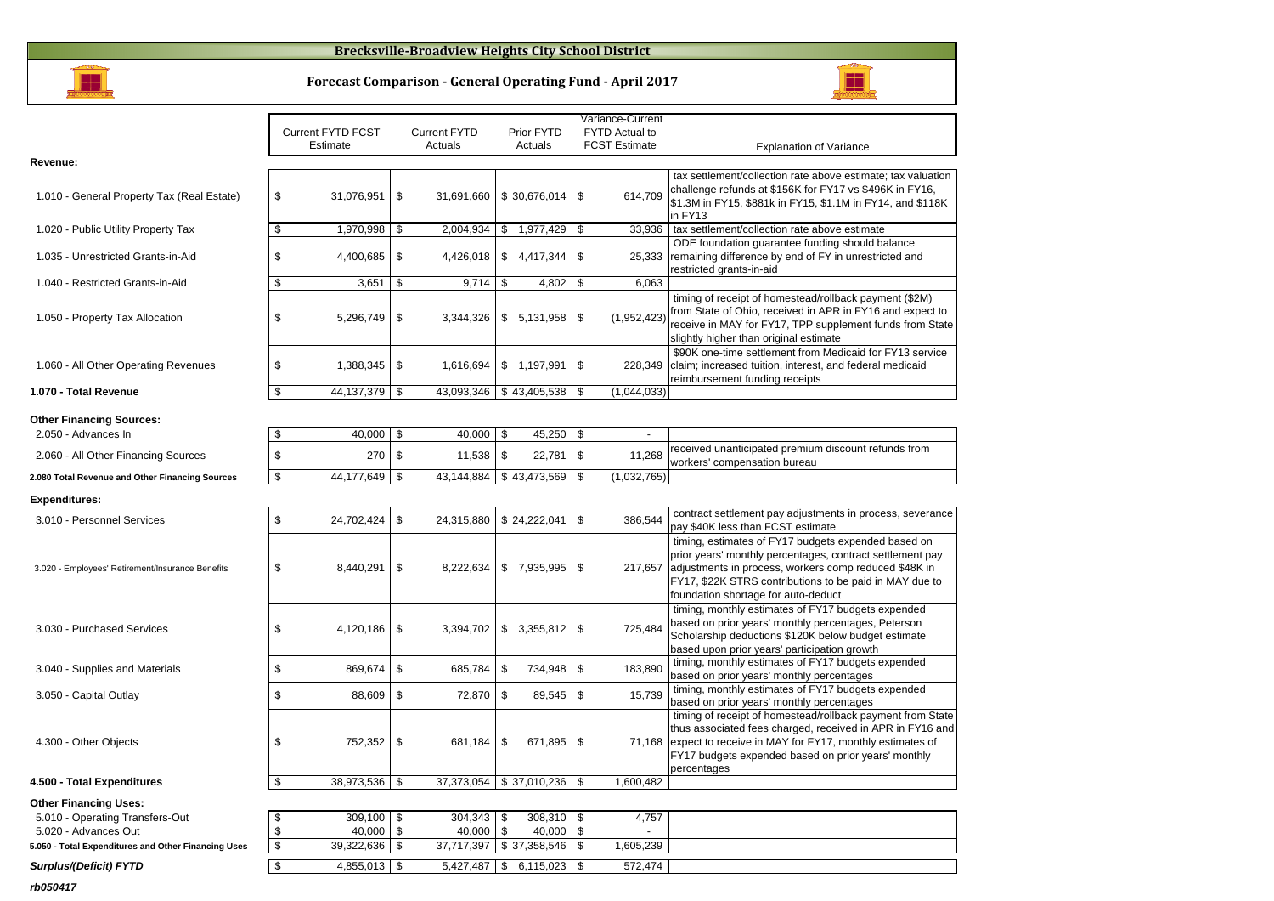#### **Brecksville-Broadview Heights City School District**



**Forecast Comparison - General Operating Fund - April 2017**

H

|                                                        |                          |                          |                 | Variance-Current     |                                                                                                                       |
|--------------------------------------------------------|--------------------------|--------------------------|-----------------|----------------------|-----------------------------------------------------------------------------------------------------------------------|
|                                                        | <b>Current FYTD FCST</b> | <b>Current FYTD</b>      | Prior FYTD      | FYTD Actual to       |                                                                                                                       |
|                                                        | Estimate                 | Actuals                  | Actuals         | <b>FCST Estimate</b> | <b>Explanation of Variance</b>                                                                                        |
| Revenue:                                               |                          |                          |                 |                      |                                                                                                                       |
|                                                        |                          |                          |                 |                      | tax settlement/collection rate above estimate; tax valuation                                                          |
| 1.010 - General Property Tax (Real Estate)             | \$<br>31,076,951         | \$<br>31,691,660         | \$30,676,014    | \$<br>614,709        | challenge refunds at \$156K for FY17 vs \$496K in FY16,<br>\$1.3M in FY15, \$881k in FY15, \$1.1M in FY14, and \$118K |
|                                                        |                          |                          |                 |                      | in FY13                                                                                                               |
| 1.020 - Public Utility Property Tax                    | \$<br>1,970,998          | \$<br>2,004,934          | \$1,977,429     | \$<br>33,936         | tax settlement/collection rate above estimate                                                                         |
|                                                        |                          |                          |                 |                      | ODE foundation guarantee funding should balance                                                                       |
| 1.035 - Unrestricted Grants-in-Aid                     | \$<br>4,400,685          | \$<br>4,426,018          | \$4,417,344     | \$<br>25,333         | remaining difference by end of FY in unrestricted and                                                                 |
|                                                        |                          |                          |                 |                      | restricted grants-in-aid                                                                                              |
| 1.040 - Restricted Grants-in-Aid                       | \$<br>3,651              | \$<br>9,714              | \$<br>4,802     | \$<br>6,063          |                                                                                                                       |
|                                                        |                          |                          |                 |                      | timing of receipt of homestead/rollback payment (\$2M)<br>from State of Ohio, received in APR in FY16 and expect to   |
| 1.050 - Property Tax Allocation                        | \$<br>5,296,749          | \$<br>3,344,326          | \$5,131,958     | \$<br>(1,952,423)    | receive in MAY for FY17, TPP supplement funds from State                                                              |
|                                                        |                          |                          |                 |                      | slightly higher than original estimate                                                                                |
|                                                        |                          |                          |                 |                      | \$90K one-time settlement from Medicaid for FY13 service                                                              |
| 1.060 - All Other Operating Revenues                   | \$<br>1,388,345          | \$<br>1,616,694          | \$1,197,991     | \$<br>228,349        | claim; increased tuition, interest, and federal medicaid                                                              |
|                                                        |                          |                          |                 |                      | reimbursement funding receipts                                                                                        |
| 1.070 - Total Revenue                                  | \$<br>44,137,379         | \$<br>43,093,346         | \$43,405,538    | \$<br>(1,044,033)    |                                                                                                                       |
|                                                        |                          |                          |                 |                      |                                                                                                                       |
| <b>Other Financing Sources:</b><br>2.050 - Advances In | \$<br>40,000             | \$<br>40,000             | \$<br>45,250    | \$<br>$\blacksquare$ |                                                                                                                       |
|                                                        |                          |                          |                 |                      | received unanticipated premium discount refunds from                                                                  |
| 2.060 - All Other Financing Sources                    | \$<br>270                | \$<br>11,538             | \$<br>22,781    | \$<br>11,268         | workers' compensation bureau                                                                                          |
| 2.080 Total Revenue and Other Financing Sources        | \$<br>44,177,649         | \$<br>43,144,884         | \$43,473,569    | \$<br>(1,032,765)    |                                                                                                                       |
| <b>Expenditures:</b>                                   |                          |                          |                 |                      |                                                                                                                       |
|                                                        |                          |                          |                 |                      | contract settlement pay adjustments in process, severance                                                             |
| 3.010 - Personnel Services                             | \$<br>24,702,424         | \$<br>24,315,880         | \$24,222,041    | \$<br>386,544        | pay \$40K less than FCST estimate                                                                                     |
|                                                        |                          |                          |                 |                      | timing, estimates of FY17 budgets expended based on                                                                   |
|                                                        |                          |                          |                 |                      | prior years' monthly percentages, contract settlement pay                                                             |
| 3.020 - Employees' Retirement/Insurance Benefits       | \$<br>8,440,291          | \$<br>8,222,634          | \$7,935,995     | \$<br>217,657        | adjustments in process, workers comp reduced \$48K in                                                                 |
|                                                        |                          |                          |                 |                      | FY17, \$22K STRS contributions to be paid in MAY due to                                                               |
|                                                        |                          |                          |                 |                      | foundation shortage for auto-deduct<br>timing, monthly estimates of FY17 budgets expended                             |
|                                                        |                          |                          |                 |                      | based on prior years' monthly percentages, Peterson                                                                   |
| 3.030 - Purchased Services                             | \$<br>4,120,186          | \$<br>3,394,702          | \$<br>3,355,812 | \$<br>725,484        | Scholarship deductions \$120K below budget estimate                                                                   |
|                                                        |                          |                          |                 |                      | based upon prior years' participation growth                                                                          |
| 3.040 - Supplies and Materials                         | \$<br>869,674            | \$<br>685,784            | \$<br>734,948   | \$<br>183,890        | timing, monthly estimates of FY17 budgets expended                                                                    |
|                                                        |                          |                          |                 |                      | based on prior years' monthly percentages<br>timing, monthly estimates of FY17 budgets expended                       |
| 3.050 - Capital Outlay                                 | \$<br>88,609             | \$<br>72,870             | \$<br>89,545    | \$<br>15,739         | based on prior years' monthly percentages                                                                             |
|                                                        |                          |                          |                 |                      | timing of receipt of homestead/rollback payment from State                                                            |
|                                                        |                          |                          |                 |                      | thus associated fees charged, received in APR in FY16 and                                                             |
| 4.300 - Other Objects                                  | \$<br>752,352            | \$<br>681,184            | \$<br>671,895   | \$                   | 71,168 expect to receive in MAY for FY17, monthly estimates of                                                        |
|                                                        |                          |                          |                 |                      | FY17 budgets expended based on prior years' monthly                                                                   |
| 4.500 - Total Expenditures                             | \$<br>38,973,536 \$      | 37,373,054 \$ 37,010,236 |                 | \$<br>1,600,482      | percentages                                                                                                           |
|                                                        |                          |                          |                 |                      |                                                                                                                       |
| <b>Other Financing Uses:</b>                           |                          |                          |                 |                      |                                                                                                                       |
| 5.010 - Operating Transfers-Out                        | \$<br>$309,100$ \$       | $304,343$ \$             | 308,310 \$      | 4,757                |                                                                                                                       |

|              | 4,757     |  |
|--------------|-----------|--|
| 40.000       |           |  |
| \$37.358.546 | 1.605.239 |  |
| 6.115.023    | 572.474   |  |
|              |           |  |

**rb050417**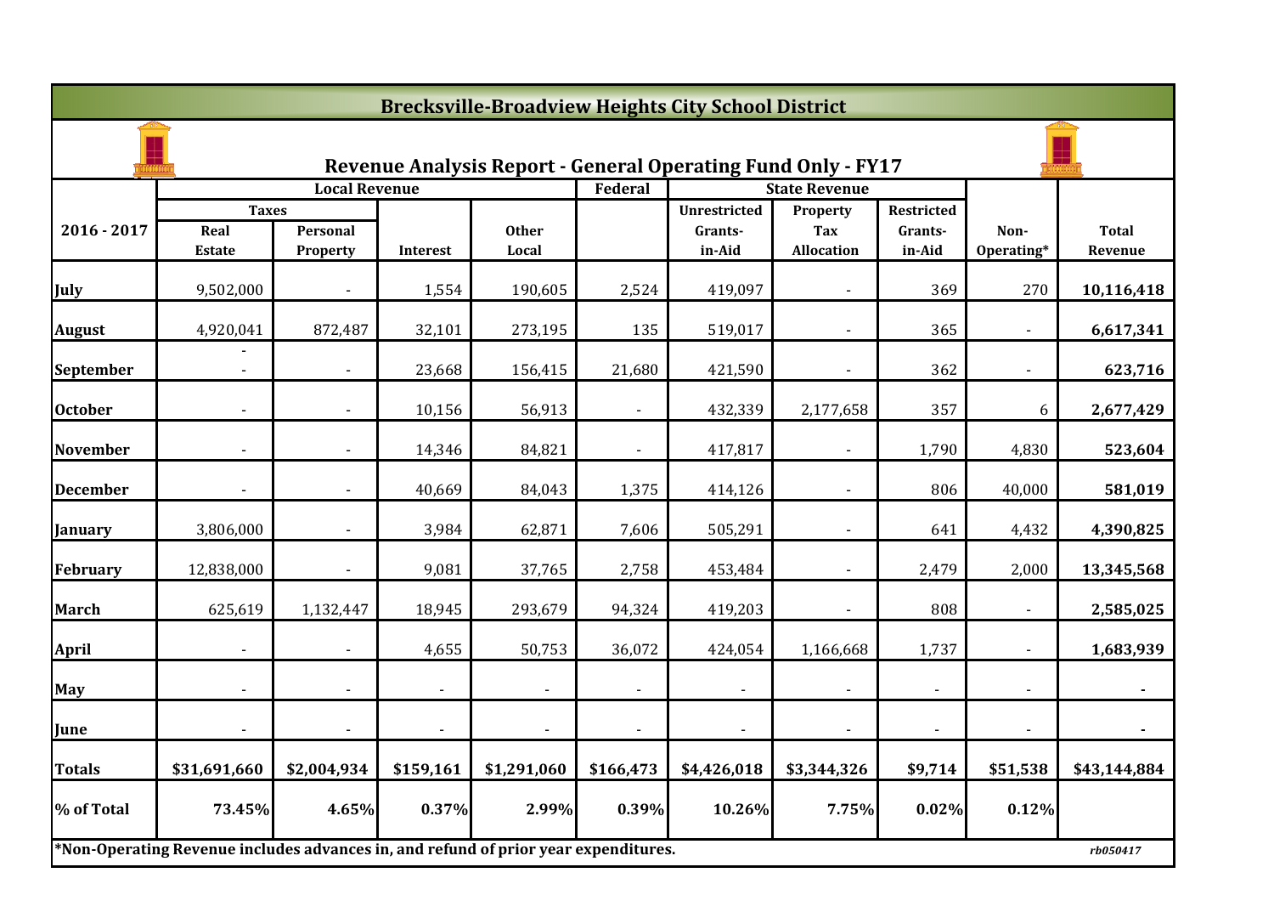|                 | <b>Brecksville-Broadview Heights City School District</b>                           |                      |                |                |                |                                                                     |                      |                       |                |              |  |  |
|-----------------|-------------------------------------------------------------------------------------|----------------------|----------------|----------------|----------------|---------------------------------------------------------------------|----------------------|-----------------------|----------------|--------------|--|--|
|                 |                                                                                     |                      |                |                |                | <b>Revenue Analysis Report - General Operating Fund Only - FY17</b> |                      |                       |                |              |  |  |
|                 |                                                                                     | <b>Local Revenue</b> |                |                | Federal        |                                                                     | <b>State Revenue</b> |                       |                |              |  |  |
| $2016 - 2017$   | <b>Taxes</b><br>Real                                                                | Personal             |                | <b>Other</b>   |                | <b>Unrestricted</b><br>Grants-                                      | Property<br>Tax      | Restricted<br>Grants- | Non-           | <b>Total</b> |  |  |
|                 | <b>Estate</b>                                                                       | Property             | Interest       | Local          |                | in-Aid                                                              | <b>Allocation</b>    | in-Aid                | Operating*     | Revenue      |  |  |
| July            | 9,502,000                                                                           |                      | 1,554          | 190,605        | 2,524          | 419,097                                                             |                      | 369                   | 270            | 10,116,418   |  |  |
| <b>August</b>   | 4,920,041                                                                           | 872,487              | 32,101         | 273,195        | 135            | 519,017                                                             | $\blacksquare$       | 365                   | $\blacksquare$ | 6,617,341    |  |  |
| September       |                                                                                     |                      | 23,668         | 156,415        | 21,680         | 421,590                                                             | $\blacksquare$       | 362                   | $\blacksquare$ | 623,716      |  |  |
| <b>October</b>  |                                                                                     |                      | 10,156         | 56,913         |                | 432,339                                                             | 2,177,658            | 357                   | 6              | 2,677,429    |  |  |
| <b>November</b> |                                                                                     |                      | 14,346         | 84,821         | $\blacksquare$ | 417,817                                                             |                      | 1,790                 | 4,830          | 523,604      |  |  |
| <b>December</b> |                                                                                     |                      | 40,669         | 84,043         | 1,375          | 414,126                                                             |                      | 806                   | 40,000         | 581,019      |  |  |
| <b>January</b>  | 3,806,000                                                                           | $\blacksquare$       | 3,984          | 62,871         | 7,606          | 505,291                                                             | $\blacksquare$       | 641                   | 4,432          | 4,390,825    |  |  |
| February        | 12,838,000                                                                          | $\blacksquare$       | 9,081          | 37,765         | 2,758          | 453,484                                                             | $\blacksquare$       | 2,479                 | 2,000          | 13,345,568   |  |  |
| <b>March</b>    | 625,619                                                                             | 1,132,447            | 18,945         | 293,679        | 94,324         | 419,203                                                             |                      | 808                   |                | 2,585,025    |  |  |
| <b>April</b>    |                                                                                     |                      | 4,655          | 50,753         | 36,072         | 424,054                                                             | 1,166,668            | 1,737                 |                | 1,683,939    |  |  |
| <b>May</b>      |                                                                                     |                      |                |                |                |                                                                     |                      |                       |                |              |  |  |
| June            | $\blacksquare$                                                                      | $\blacksquare$       | $\blacksquare$ | $\blacksquare$ | $\blacksquare$ | $\blacksquare$                                                      | $\blacksquare$       | $\overline{a}$        | $\blacksquare$ | $\sim$       |  |  |
| Totals          | \$31,691,660                                                                        | \$2,004,934          | \$159,161      | \$1,291,060    | \$166,473      | \$4,426,018                                                         | \$3,344,326          | \$9,714               | \$51,538       | \$43,144,884 |  |  |
| % of Total      | 73.45%                                                                              | 4.65%                | 0.37%          | 2.99%          | 0.39%          | 10.26%                                                              | 7.75%                | 0.02%                 | 0.12%          |              |  |  |
|                 | *Non-Operating Revenue includes advances in, and refund of prior year expenditures. |                      |                |                |                |                                                                     |                      |                       |                | rb050417     |  |  |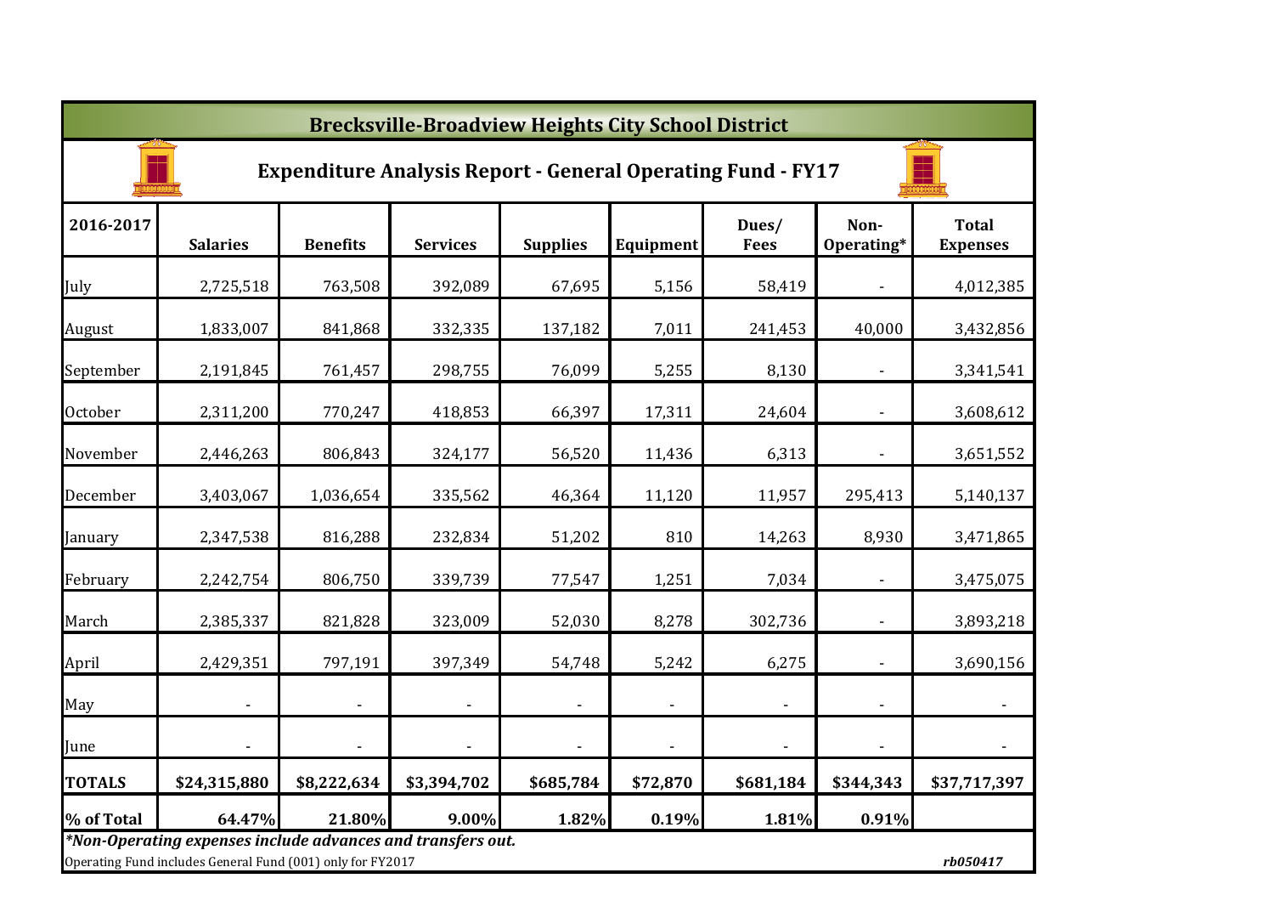|               | <b>Brecksville-Broadview Heights City School District</b>                                                                 |                          |                          |                 |                          |                      |                          |                                 |  |  |  |  |  |
|---------------|---------------------------------------------------------------------------------------------------------------------------|--------------------------|--------------------------|-----------------|--------------------------|----------------------|--------------------------|---------------------------------|--|--|--|--|--|
|               | <b>Expenditure Analysis Report - General Operating Fund - FY17</b>                                                        |                          |                          |                 |                          |                      |                          |                                 |  |  |  |  |  |
| 2016-2017     | <b>Salaries</b>                                                                                                           | <b>Benefits</b>          | <b>Services</b>          | <b>Supplies</b> | Equipment                | Dues/<br><b>Fees</b> | Non-<br>Operating*       | <b>Total</b><br><b>Expenses</b> |  |  |  |  |  |
| July          | 2,725,518                                                                                                                 | 763,508                  | 392,089                  | 67,695          | 5,156                    | 58,419               |                          | 4,012,385                       |  |  |  |  |  |
| August        | 1,833,007                                                                                                                 | 841,868                  | 332,335                  | 137,182         | 7,011                    | 241,453              | 40,000                   | 3,432,856                       |  |  |  |  |  |
| September     | 2,191,845                                                                                                                 | 761,457                  | 298,755                  | 76,099          | 5,255                    | 8,130                |                          | 3,341,541                       |  |  |  |  |  |
| October       | 2,311,200                                                                                                                 | 770,247                  | 418,853                  | 66,397          | 17,311                   | 24,604               | $\blacksquare$           | 3,608,612                       |  |  |  |  |  |
| November      | 2,446,263                                                                                                                 | 806,843                  | 324,177                  | 56,520          | 11,436                   | 6,313                | $\overline{a}$           | 3,651,552                       |  |  |  |  |  |
| December      | 3,403,067                                                                                                                 | 1,036,654                | 335,562                  | 46,364          | 11,120                   | 11,957               | 295,413                  | 5,140,137                       |  |  |  |  |  |
| January       | 2,347,538                                                                                                                 | 816,288                  | 232,834                  | 51,202          | 810                      | 14,263               | 8,930                    | 3,471,865                       |  |  |  |  |  |
| February      | 2,242,754                                                                                                                 | 806,750                  | 339,739                  | 77,547          | 1,251                    | 7,034                | $\overline{\phantom{a}}$ | 3,475,075                       |  |  |  |  |  |
| March         | 2,385,337                                                                                                                 | 821,828                  | 323,009                  | 52,030          | 8,278                    | 302,736              | $\blacksquare$           | 3,893,218                       |  |  |  |  |  |
| April         | 2,429,351                                                                                                                 | 797,191                  | 397,349                  | 54,748          | 5,242                    | 6,275                | ÷,                       | 3,690,156                       |  |  |  |  |  |
| May           |                                                                                                                           | $\overline{\phantom{a}}$ | $\overline{\phantom{a}}$ |                 | $\overline{\phantom{a}}$ | $\blacksquare$       |                          | $\blacksquare$                  |  |  |  |  |  |
| June          |                                                                                                                           |                          | $\blacksquare$           | $\blacksquare$  | $\overline{\phantom{a}}$ | $\blacksquare$       |                          | $\blacksquare$                  |  |  |  |  |  |
| <b>TOTALS</b> | \$24,315,880                                                                                                              | \$8,222,634              | \$3,394,702              | \$685,784       | \$72,870                 | \$681,184            | \$344,343                | \$37,717,397                    |  |  |  |  |  |
| % of Total    | 64.47%                                                                                                                    | 21.80%                   | 9.00%                    | 1.82%           | 0.19%                    | 1.81%                | 0.91%                    |                                 |  |  |  |  |  |
|               | *Non-Operating expenses include advances and transfers out.<br>Operating Fund includes General Fund (001) only for FY2017 |                          |                          |                 |                          |                      |                          | rb050417                        |  |  |  |  |  |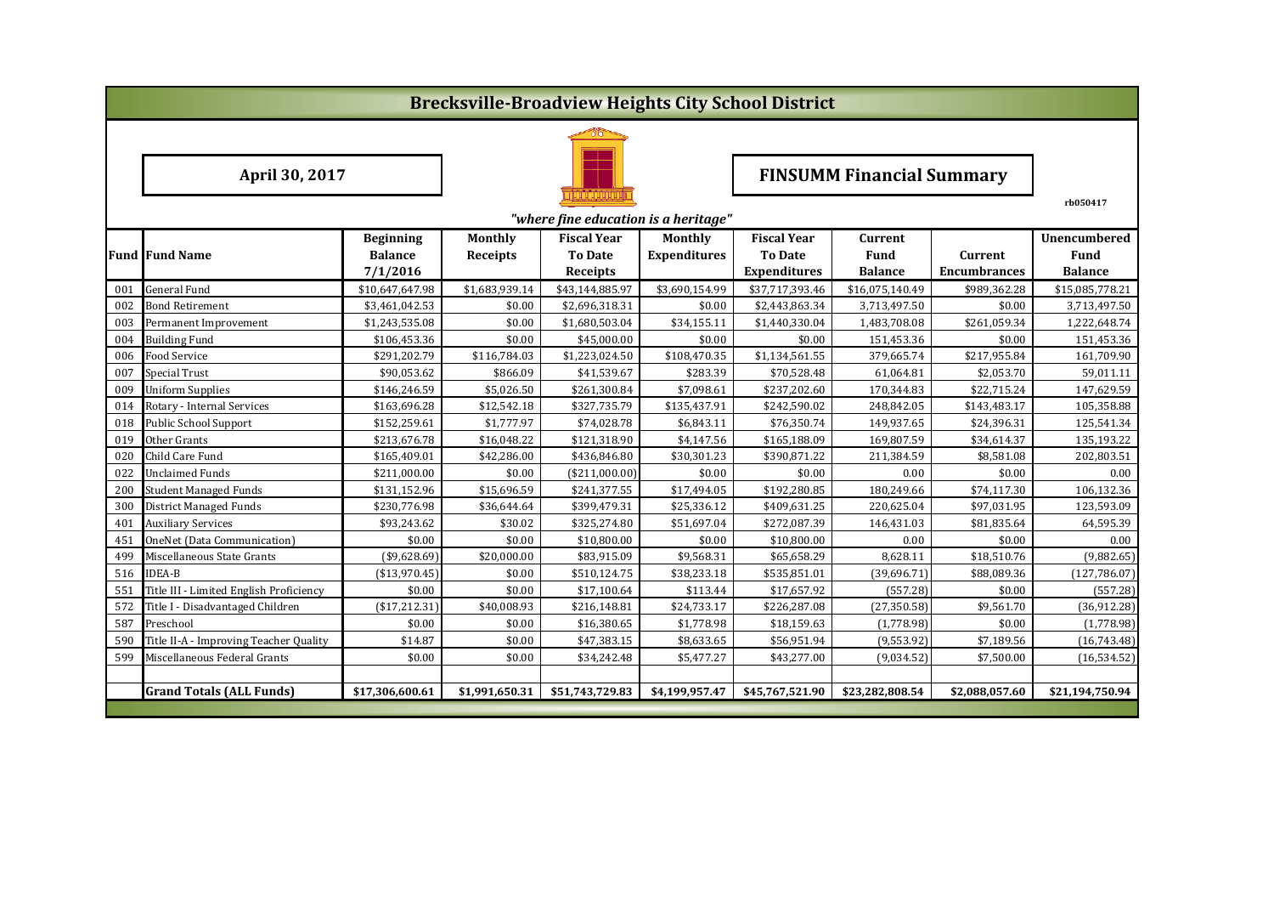|     |                                         |                  |                 |                                      |                     | <b>Brecksville-Broadview Heights City School District</b> |                                  |                     |                 |  |  |
|-----|-----------------------------------------|------------------|-----------------|--------------------------------------|---------------------|-----------------------------------------------------------|----------------------------------|---------------------|-----------------|--|--|
|     |                                         |                  |                 |                                      |                     |                                                           |                                  |                     |                 |  |  |
|     | April 30, 2017                          |                  |                 |                                      |                     |                                                           | <b>FINSUMM Financial Summary</b> |                     |                 |  |  |
|     |                                         |                  |                 | "where fine education is a heritage" |                     |                                                           |                                  |                     | rb050417        |  |  |
|     |                                         | <b>Beginning</b> | Monthly         | <b>Fiscal Year</b>                   | <b>Monthly</b>      | <b>Fiscal Year</b>                                        | Current                          |                     | Unencumbered    |  |  |
|     | <b>Fund Fund Name</b>                   | <b>Balance</b>   | <b>Receipts</b> | <b>To Date</b>                       | <b>Expenditures</b> | <b>To Date</b>                                            | Fund                             | Current             | <b>Fund</b>     |  |  |
|     |                                         | 7/1/2016         |                 | Receipts                             |                     | <b>Expenditures</b>                                       | <b>Balance</b>                   | <b>Encumbrances</b> | <b>Balance</b>  |  |  |
| 001 | <b>General Fund</b>                     | \$10,647,647.98  | \$1,683,939.14  | \$43,144,885.97                      | \$3,690,154.99      | \$37,717,393.46                                           | \$16,075,140.49                  | \$989,362.28        | \$15,085,778.21 |  |  |
| 002 | Bond Retirement                         | \$3,461,042.53   | \$0.00          | \$2,696,318.31                       | \$0.00              | \$2,443,863.34                                            | 3,713,497.50                     | \$0.00              | 3,713,497.50    |  |  |
| 003 | Permanent Improvement                   | \$1,243,535.08   | \$0.00          | \$1,680,503.04                       | \$34,155.11         | \$1,440,330.04                                            | 1,483,708.08                     | \$261,059.34        | 1,222,648.74    |  |  |
| 004 | <b>Building Fund</b>                    | \$106,453.36     | \$0.00          | \$45,000.00                          | \$0.00              | \$0.00                                                    | 151,453.36                       | \$0.00              | 151,453.36      |  |  |
| 006 | Food Service                            | \$291,202.79     | \$116,784.03    | \$1,223,024.50                       | \$108,470.35        | \$1,134,561.55                                            | 379,665.74                       | \$217,955.84        | 161,709.90      |  |  |
| 007 | Special Trust                           | \$90,053.62      | \$866.09        | \$41,539.67                          | \$283.39            | \$70,528.48                                               | 61,064.81                        | \$2,053.70          | 59,011.11       |  |  |
| 009 | <b>Uniform Supplies</b>                 | \$146,246.59     | \$5,026.50      | \$261,300.84                         | \$7,098.61          | \$237,202.60                                              | 170,344.83                       | \$22,715.24         | 147,629.59      |  |  |
| 014 | Rotary - Internal Services              | \$163,696.28     | \$12,542.18     | \$327,735.79                         | \$135,437.91        | \$242,590.02                                              | 248,842.05                       | \$143,483.17        | 105,358.88      |  |  |
| 018 | <b>Public School Support</b>            | \$152,259.61     | \$1,777.97      | \$74,028.78                          | \$6,843.11          | \$76,350.74                                               | 149,937.65                       | \$24,396.31         | 125,541.34      |  |  |
| 019 | Other Grants                            | \$213,676.78     | \$16,048.22     | \$121,318.90                         | \$4,147.56          | \$165,188.09                                              | 169,807.59                       | \$34,614.37         | 135,193.22      |  |  |
| 020 | Child Care Fund                         | \$165,409.01     | \$42,286.00     | \$436,846.80                         | \$30,301.23         | \$390,871.22                                              | 211,384.59                       | \$8,581.08          | 202,803.51      |  |  |
| 022 | <b>Unclaimed Funds</b>                  | \$211,000.00     | \$0.00          | (\$211,000.00)                       | \$0.00              | \$0.00                                                    | 0.00                             | \$0.00              | 0.00            |  |  |
| 200 | <b>Student Managed Funds</b>            | \$131,152.96     | \$15,696.59     | \$241,377.55                         | \$17,494.05         | \$192,280.85                                              | 180,249.66                       | \$74,117.30         | 106,132.36      |  |  |
| 300 | <b>District Managed Funds</b>           | \$230,776.98     | \$36,644.64     | \$399,479.31                         | \$25,336.12         | \$409,631.25                                              | 220,625.04                       | \$97,031.95         | 123,593.09      |  |  |
| 401 | <b>Auxiliary Services</b>               | \$93,243.62      | \$30.02         | \$325,274.80                         | \$51,697.04         | \$272,087.39                                              | 146,431.03                       | \$81,835.64         | 64,595.39       |  |  |
| 451 | OneNet (Data Communication)             | \$0.00           | \$0.00          | \$10,800.00                          | \$0.00              | \$10,800.00                                               | 0.00                             | \$0.00              | 0.00            |  |  |
| 499 | Miscellaneous State Grants              | (\$9,628.69)     | \$20,000.00     | \$83,915.09                          | \$9,568.31          | \$65,658.29                                               | 8,628.11                         | \$18,510.76         | (9,882.65)      |  |  |
| 516 | <b>IDEA-B</b>                           | ( \$13,970.45)   | \$0.00          | \$510,124.75                         | \$38,233.18         | \$535,851.01                                              | (39,696.71)                      | \$88,089.36         | (127, 786.07)   |  |  |
| 551 | Title III - Limited English Proficiency | \$0.00           | \$0.00          | \$17,100.64                          | \$113.44            | \$17,657.92                                               | (557.28)                         | \$0.00              | (557.28)        |  |  |
| 572 | Title I - Disadvantaged Children        | (\$17,212.31)    | \$40,008.93     | \$216,148.81                         | \$24,733.17         | \$226,287.08                                              | (27, 350.58)                     | \$9,561.70          | (36,912.28)     |  |  |
| 587 | Preschool                               | \$0.00           | \$0.00          | \$16,380.65                          | \$1,778.98          | \$18,159.63                                               | (1,778.98)                       | \$0.00              | (1,778.98)      |  |  |
| 590 | Title II-A - Improving Teacher Quality  | \$14.87          | \$0.00          | \$47,383.15                          | \$8,633.65          | \$56,951.94                                               | (9, 553.92)                      | \$7,189.56          | (16,743.48)     |  |  |
| 599 | Miscellaneous Federal Grants            | \$0.00           | \$0.00          | \$34,242.48                          | \$5,477.27          | \$43,277.00                                               | (9,034.52)                       | \$7,500.00          | (16, 534.52)    |  |  |
|     |                                         |                  |                 |                                      |                     |                                                           |                                  |                     |                 |  |  |
|     | <b>Grand Totals (ALL Funds)</b>         | \$17,306,600.61  | \$1,991,650.31  | \$51,743,729.83                      | \$4,199,957.47      | \$45,767,521.90                                           | \$23,282,808.54                  | \$2,088,057.60      | \$21,194,750.94 |  |  |
|     |                                         |                  |                 |                                      |                     |                                                           |                                  |                     |                 |  |  |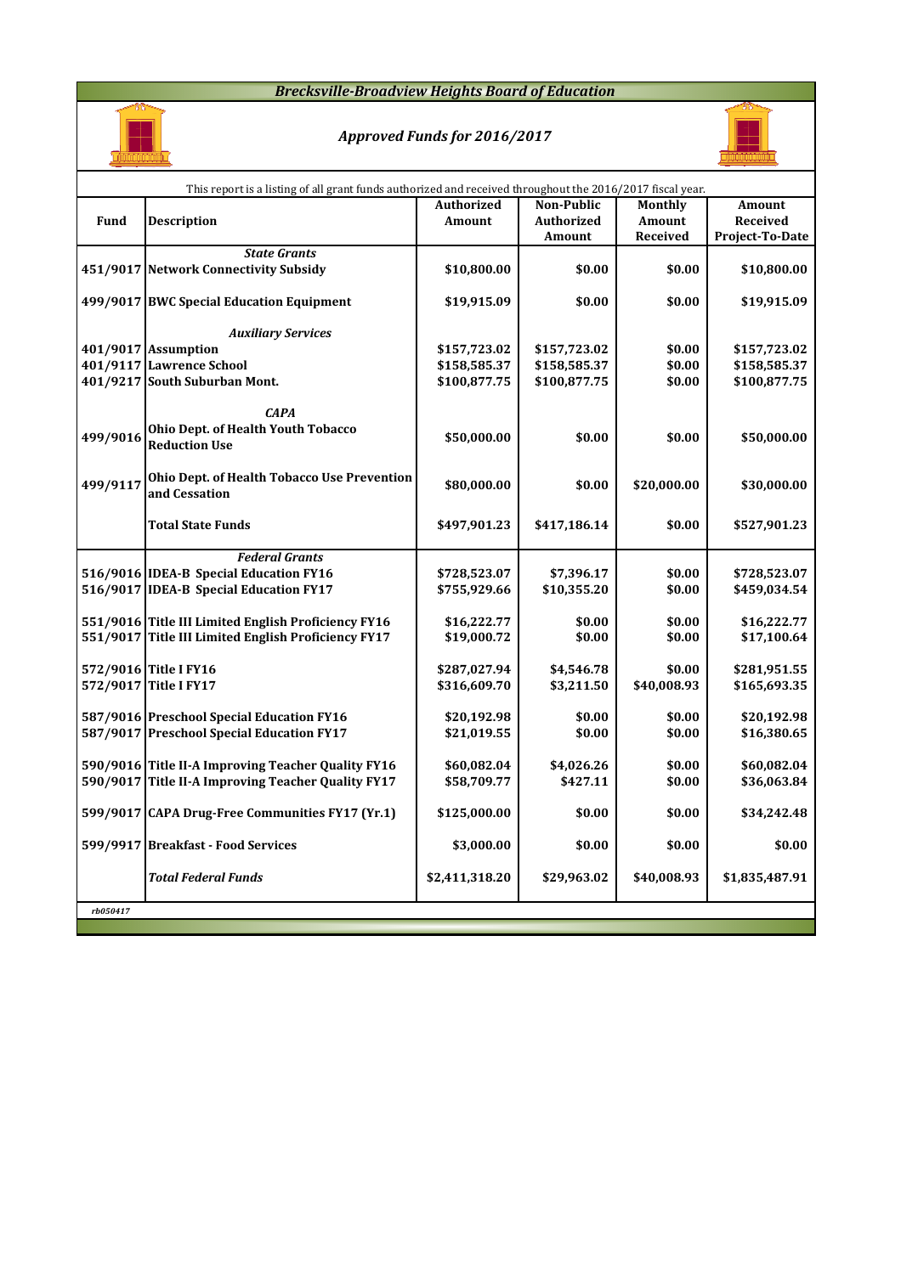#### *Brecksville-Broadview Heights Board of Education*



## *Approved Funds for 2016/2017*



|          | This report is a listing of all grant funds authorized and received throughout the 2016/2017 fiscal year.  |                |                   |                |                 |
|----------|------------------------------------------------------------------------------------------------------------|----------------|-------------------|----------------|-----------------|
|          |                                                                                                            | Authorized     | <b>Non-Public</b> | <b>Monthly</b> | Amount          |
| Fund     | <b>Description</b>                                                                                         | Amount         | <b>Authorized</b> | Amount         | Received        |
|          |                                                                                                            |                | Amount            | Received       | Project-To-Date |
|          | <b>State Grants</b>                                                                                        |                |                   |                |                 |
|          | 451/9017 Network Connectivity Subsidy                                                                      | \$10,800.00    | \$0.00            | \$0.00         | \$10,800.00     |
|          | 499/9017 BWC Special Education Equipment                                                                   | \$19,915.09    | \$0.00            | \$0.00         | \$19,915.09     |
|          | <b>Auxiliary Services</b>                                                                                  |                |                   |                |                 |
|          | 401/9017 Assumption                                                                                        | \$157,723.02   | \$157,723.02      | \$0.00         | \$157,723.02    |
|          | 401/9117 Lawrence School                                                                                   | \$158,585.37   | \$158,585.37      | \$0.00         | \$158,585.37    |
|          | 401/9217 South Suburban Mont.                                                                              | \$100,877.75   | \$100,877.75      | \$0.00         | \$100,877.75    |
| 499/9016 | <b>CAPA</b><br><b>Ohio Dept. of Health Youth Tobacco</b><br><b>Reduction Use</b>                           | \$50,000.00    | \$0.00            | \$0.00         | \$50,000.00     |
| 499/9117 | Ohio Dept. of Health Tobacco Use Prevention<br>and Cessation                                               | \$80,000.00    | \$0.00            | \$20,000.00    | \$30,000.00     |
|          | <b>Total State Funds</b>                                                                                   | \$497,901.23   | \$417,186.14      | \$0.00         | \$527,901.23    |
|          | <b>Federal Grants</b>                                                                                      |                |                   |                |                 |
|          | 516/9016 IDEA-B Special Education FY16                                                                     | \$728,523.07   | \$7,396.17        | \$0.00         | \$728,523.07    |
|          | 516/9017 IDEA-B Special Education FY17                                                                     | \$755,929.66   | \$10,355.20       | \$0.00         | \$459,034.54    |
|          |                                                                                                            |                |                   |                |                 |
|          | 551/9016 Title III Limited English Proficiency FY16<br>551/9017 Title III Limited English Proficiency FY17 | \$16,222.77    | \$0.00            | \$0.00         | \$16,222.77     |
|          |                                                                                                            | \$19,000.72    | \$0.00            | \$0.00         | \$17,100.64     |
|          | 572/9016 Title I FY16                                                                                      | \$287,027.94   | \$4,546.78        | \$0.00         | \$281,951.55    |
|          | 572/9017 Title I FY17                                                                                      | \$316,609.70   | \$3,211.50        | \$40,008.93    | \$165,693.35    |
|          |                                                                                                            |                |                   |                |                 |
|          | 587/9016 Preschool Special Education FY16                                                                  | \$20,192.98    | \$0.00            | \$0.00         | \$20,192.98     |
|          | 587/9017 Preschool Special Education FY17                                                                  | \$21,019.55    | \$0.00            | \$0.00         | \$16,380.65     |
|          |                                                                                                            |                |                   |                |                 |
|          | 590/9016 Title II-A Improving Teacher Quality FY16                                                         | \$60,082.04    | \$4,026.26        | \$0.00         | \$60,082.04     |
|          | 590/9017 Title II-A Improving Teacher Quality FY17                                                         | \$58,709.77    | \$427.11          | \$0.00         | \$36,063.84     |
|          | 599/9017 CAPA Drug-Free Communities FY17 (Yr.1)                                                            | \$125,000.00   | \$0.00            | \$0.00         | \$34,242.48     |
|          | 599/9917 Breakfast - Food Services                                                                         | \$3,000.00     | \$0.00            | \$0.00         | \$0.00          |
|          | <b>Total Federal Funds</b>                                                                                 | \$2,411,318.20 | \$29,963.02       | \$40,008.93    | \$1,835,487.91  |
| rb050417 |                                                                                                            |                |                   |                |                 |
|          |                                                                                                            |                |                   |                |                 |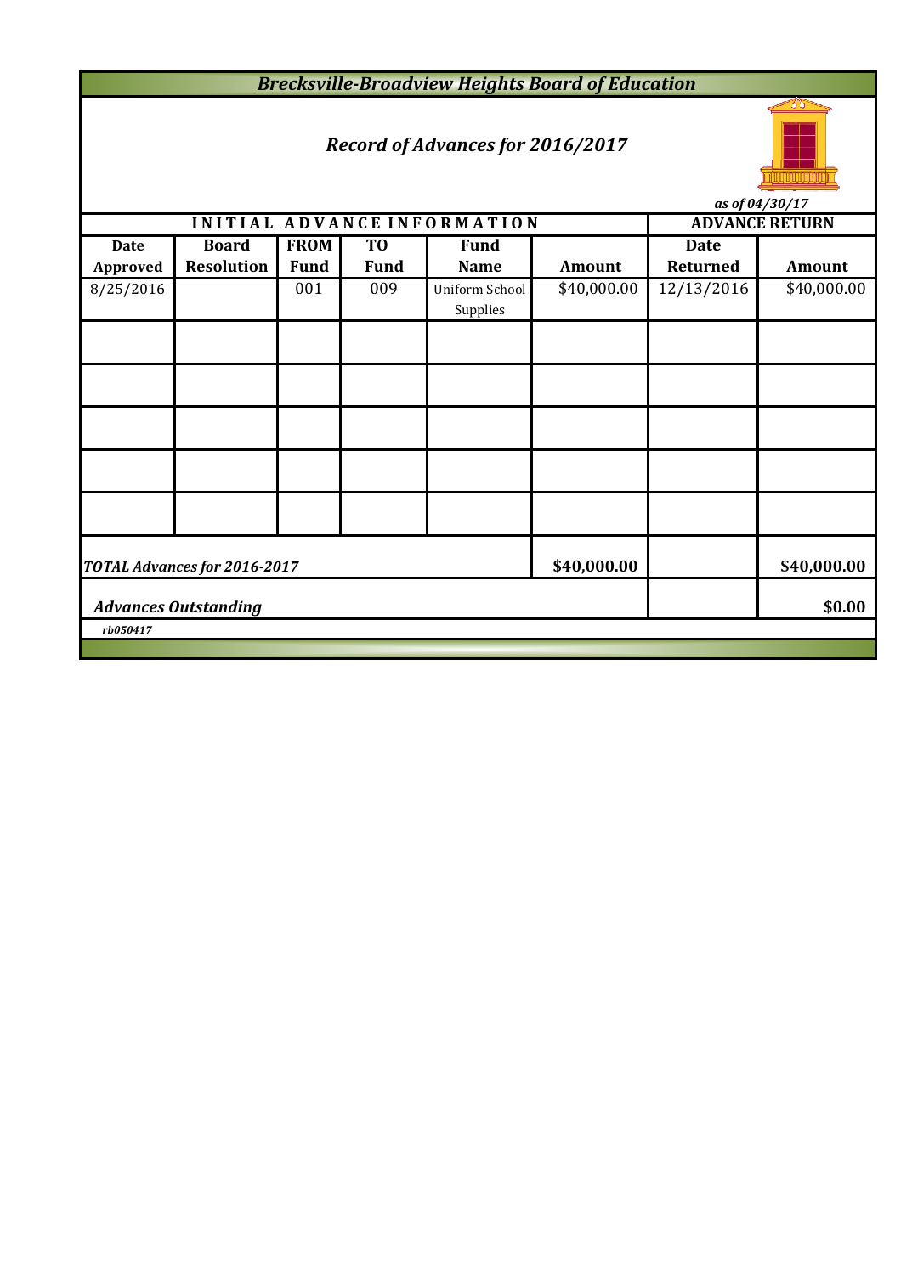*Brecksville-Broadview Heights Board of Education*

# *Record of Advances for 2016/2017*



*as of 04/30/17*

|                             |                              |             |                | INITIAL ADVANCE INFORMATION |             | ub vj v 1/00/17<br><b>ADVANCE RETURN</b> |               |  |  |  |  |
|-----------------------------|------------------------------|-------------|----------------|-----------------------------|-------------|------------------------------------------|---------------|--|--|--|--|
| <b>Date</b>                 | <b>Board</b>                 | <b>FROM</b> | T <sub>0</sub> | <b>Fund</b>                 |             | <b>Date</b>                              |               |  |  |  |  |
| Approved                    | <b>Resolution</b>            | <b>Fund</b> | <b>Fund</b>    | <b>Name</b>                 | Amount      | Returned                                 | <b>Amount</b> |  |  |  |  |
| 8/25/2016                   |                              | 001         | 009            | Uniform School<br>Supplies  | \$40,000.00 | 12/13/2016                               | \$40,000.00   |  |  |  |  |
|                             |                              |             |                |                             |             |                                          |               |  |  |  |  |
|                             |                              |             |                |                             |             |                                          |               |  |  |  |  |
|                             |                              |             |                |                             |             |                                          |               |  |  |  |  |
|                             |                              |             |                |                             |             |                                          |               |  |  |  |  |
|                             |                              |             |                |                             |             |                                          |               |  |  |  |  |
|                             | TOTAL Advances for 2016-2017 | \$40,000.00 |                | \$40,000.00                 |             |                                          |               |  |  |  |  |
| <b>Advances Outstanding</b> |                              | \$0.00      |                |                             |             |                                          |               |  |  |  |  |
| rb050417                    |                              |             |                |                             |             |                                          |               |  |  |  |  |
|                             |                              |             |                |                             |             |                                          |               |  |  |  |  |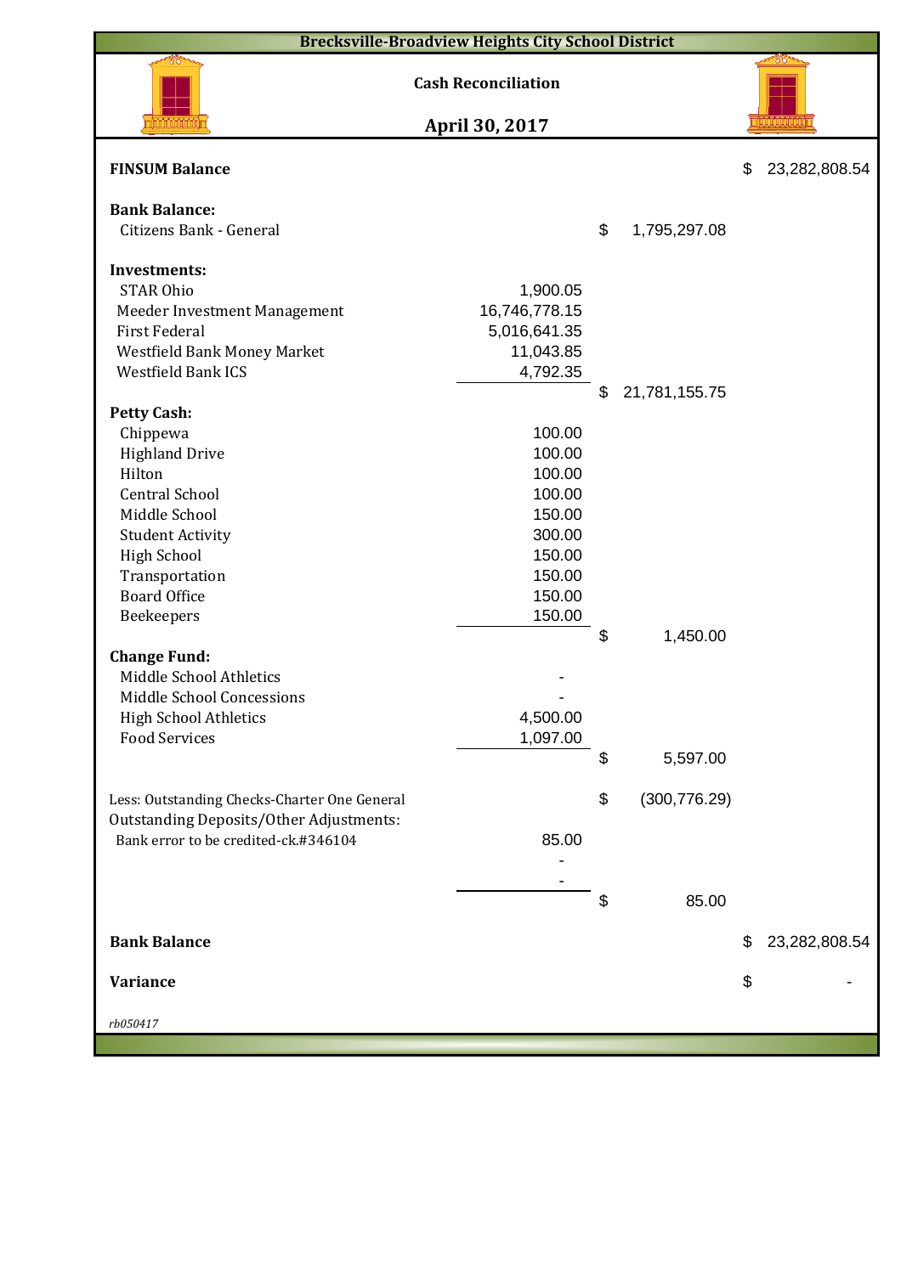| <b>Brecksville-Broadview Heights City School District</b>                              |                            |    |               |    |               |  |  |  |  |  |
|----------------------------------------------------------------------------------------|----------------------------|----|---------------|----|---------------|--|--|--|--|--|
|                                                                                        | <b>Cash Reconciliation</b> |    |               |    |               |  |  |  |  |  |
|                                                                                        | April 30, 2017             |    |               |    |               |  |  |  |  |  |
| <b>FINSUM Balance</b>                                                                  |                            |    |               | \$ | 23,282,808.54 |  |  |  |  |  |
| <b>Bank Balance:</b>                                                                   |                            |    |               |    |               |  |  |  |  |  |
| Citizens Bank - General                                                                |                            | \$ | 1,795,297.08  |    |               |  |  |  |  |  |
|                                                                                        |                            |    |               |    |               |  |  |  |  |  |
| <b>Investments:</b>                                                                    |                            |    |               |    |               |  |  |  |  |  |
| <b>STAR Ohio</b>                                                                       | 1,900.05                   |    |               |    |               |  |  |  |  |  |
| Meeder Investment Management<br><b>First Federal</b>                                   | 16,746,778.15              |    |               |    |               |  |  |  |  |  |
|                                                                                        | 5,016,641.35<br>11,043.85  |    |               |    |               |  |  |  |  |  |
| Westfield Bank Money Market<br>Westfield Bank ICS                                      | 4,792.35                   |    |               |    |               |  |  |  |  |  |
|                                                                                        |                            | \$ | 21,781,155.75 |    |               |  |  |  |  |  |
| <b>Petty Cash:</b>                                                                     |                            |    |               |    |               |  |  |  |  |  |
| Chippewa                                                                               | 100.00                     |    |               |    |               |  |  |  |  |  |
| <b>Highland Drive</b>                                                                  | 100.00                     |    |               |    |               |  |  |  |  |  |
| Hilton                                                                                 | 100.00                     |    |               |    |               |  |  |  |  |  |
| <b>Central School</b>                                                                  | 100.00                     |    |               |    |               |  |  |  |  |  |
| Middle School                                                                          | 150.00                     |    |               |    |               |  |  |  |  |  |
| <b>Student Activity</b>                                                                | 300.00                     |    |               |    |               |  |  |  |  |  |
| <b>High School</b>                                                                     | 150.00                     |    |               |    |               |  |  |  |  |  |
| Transportation                                                                         | 150.00                     |    |               |    |               |  |  |  |  |  |
| <b>Board Office</b>                                                                    | 150.00                     |    |               |    |               |  |  |  |  |  |
| Beekeepers                                                                             | 150.00                     |    |               |    |               |  |  |  |  |  |
|                                                                                        |                            | \$ | 1,450.00      |    |               |  |  |  |  |  |
| <b>Change Fund:</b>                                                                    |                            |    |               |    |               |  |  |  |  |  |
| Middle School Athletics                                                                |                            |    |               |    |               |  |  |  |  |  |
| Middle School Concessions                                                              |                            |    |               |    |               |  |  |  |  |  |
| <b>High School Athletics</b>                                                           | 4,500.00                   |    |               |    |               |  |  |  |  |  |
| <b>Food Services</b>                                                                   | 1,097.00                   |    |               |    |               |  |  |  |  |  |
|                                                                                        |                            | \$ | 5,597.00      |    |               |  |  |  |  |  |
|                                                                                        |                            |    |               |    |               |  |  |  |  |  |
| Less: Outstanding Checks-Charter One General                                           |                            | \$ | (300, 776.29) |    |               |  |  |  |  |  |
| <b>Outstanding Deposits/Other Adjustments:</b><br>Bank error to be credited-ck.#346104 | 85.00                      |    |               |    |               |  |  |  |  |  |
|                                                                                        |                            |    |               |    |               |  |  |  |  |  |
|                                                                                        |                            |    |               |    |               |  |  |  |  |  |
|                                                                                        |                            | \$ | 85.00         |    |               |  |  |  |  |  |
|                                                                                        |                            |    |               |    |               |  |  |  |  |  |
| <b>Bank Balance</b>                                                                    |                            |    |               | \$ | 23,282,808.54 |  |  |  |  |  |
|                                                                                        |                            |    |               |    |               |  |  |  |  |  |
| <b>Variance</b>                                                                        |                            |    |               | \$ |               |  |  |  |  |  |
|                                                                                        |                            |    |               |    |               |  |  |  |  |  |
| rb050417                                                                               |                            |    |               |    |               |  |  |  |  |  |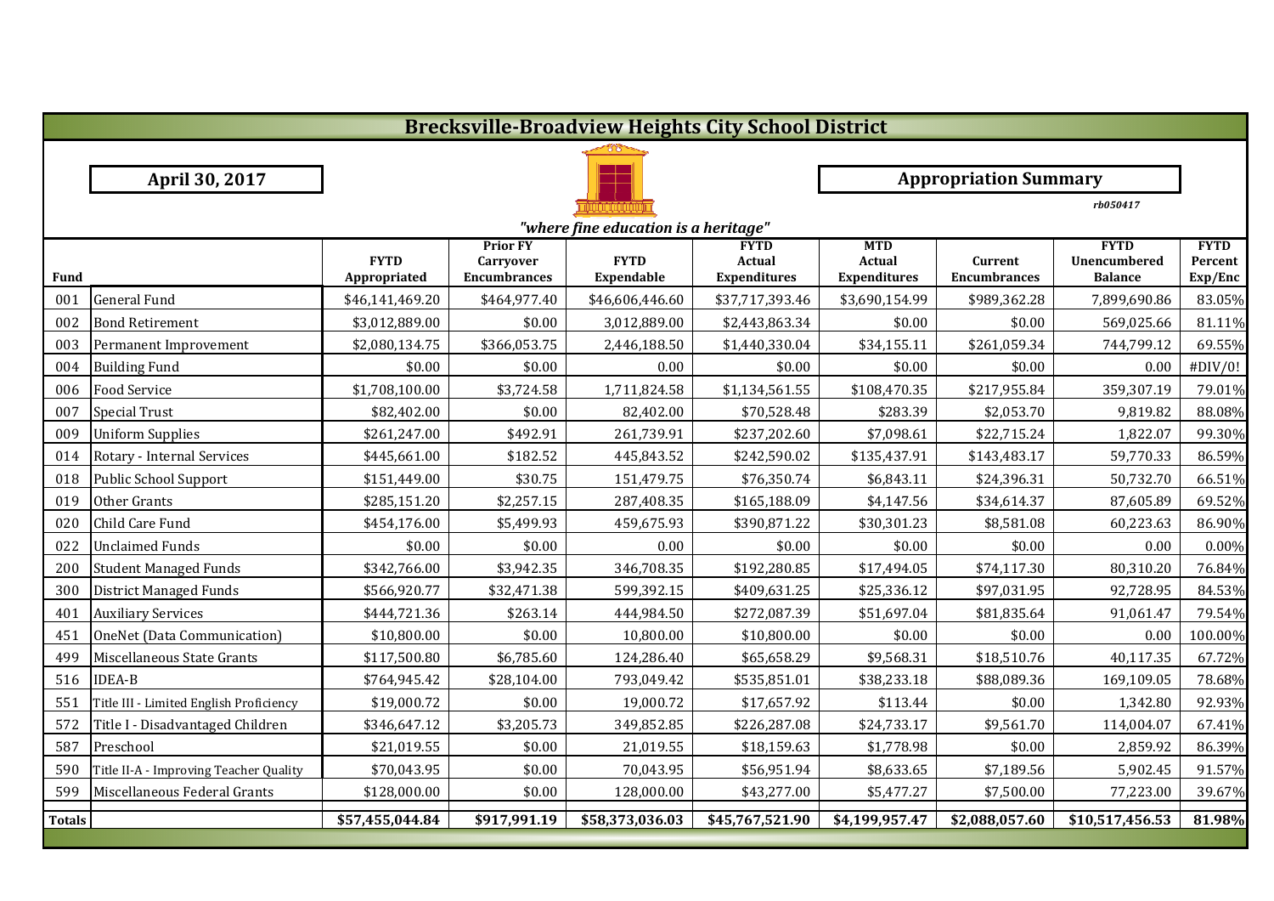|               | <b>Brecksville-Broadview Heights City School District</b> |                 |                                     |                 |                       |                             |                              |                             |                        |  |  |  |
|---------------|-----------------------------------------------------------|-----------------|-------------------------------------|-----------------|-----------------------|-----------------------------|------------------------------|-----------------------------|------------------------|--|--|--|
|               |                                                           |                 |                                     |                 |                       |                             |                              |                             |                        |  |  |  |
|               | April 30, 2017                                            |                 |                                     |                 |                       |                             | <b>Appropriation Summary</b> |                             |                        |  |  |  |
|               |                                                           |                 |                                     |                 |                       |                             |                              | rb050417                    |                        |  |  |  |
|               | "where fine education is a heritage"                      |                 |                                     |                 |                       |                             |                              |                             |                        |  |  |  |
|               |                                                           | <b>FYTD</b>     | <b>Prior FY</b><br><b>Carryover</b> | <b>FYTD</b>     | <b>FYTD</b><br>Actual | <b>MTD</b><br><b>Actual</b> | Current                      | <b>FYTD</b><br>Unencumbered | <b>FYTD</b><br>Percent |  |  |  |
| <b>Fund</b>   |                                                           | Appropriated    | <b>Encumbrances</b>                 | Expendable      | <b>Expenditures</b>   | <b>Expenditures</b>         | <b>Encumbrances</b>          | <b>Balance</b>              | Exp/Enc                |  |  |  |
| 001           | <b>General Fund</b>                                       | \$46,141,469.20 | \$464,977.40                        | \$46,606,446.60 | \$37,717,393.46       | \$3,690,154.99              | \$989,362.28                 | 7,899,690.86                | 83.05%                 |  |  |  |
| 002           | <b>Bond Retirement</b>                                    | \$3,012,889.00  | \$0.00                              | 3,012,889.00    | \$2,443,863.34        | \$0.00                      | \$0.00                       | 569,025.66                  | 81.11%                 |  |  |  |
| 003           | Permanent Improvement                                     | \$2,080,134.75  | \$366,053.75                        | 2,446,188.50    | \$1,440,330.04        | \$34,155.11                 | \$261,059.34                 | 744,799.12                  | 69.55%                 |  |  |  |
| 004           | <b>Building Fund</b>                                      | \$0.00          | \$0.00                              | 0.00            | \$0.00                | \$0.00                      | \$0.00                       | 0.00                        | #DIV/0!                |  |  |  |
| 006           | <b>Food Service</b>                                       | \$1,708,100.00  | \$3,724.58                          | 1,711,824.58    | \$1,134,561.55        | \$108,470.35                | \$217,955.84                 | 359,307.19                  | 79.01%                 |  |  |  |
| 007           | <b>Special Trust</b>                                      | \$82,402.00     | \$0.00                              | 82,402.00       | \$70,528.48           | \$283.39                    | \$2,053.70                   | 9,819.82                    | 88.08%                 |  |  |  |
| 009           | <b>Uniform Supplies</b>                                   | \$261,247.00    | \$492.91                            | 261,739.91      | \$237,202.60          | \$7,098.61                  | \$22,715.24                  | 1,822.07                    | 99.30%                 |  |  |  |
| 014           | Rotary - Internal Services                                | \$445,661.00    | \$182.52                            | 445,843.52      | \$242,590.02          | \$135,437.91                | \$143,483.17                 | 59,770.33                   | 86.59%                 |  |  |  |
| 018           | Public School Support                                     | \$151,449.00    | \$30.75                             | 151,479.75      | \$76,350.74           | \$6,843.11                  | \$24,396.31                  | 50,732.70                   | 66.51%                 |  |  |  |
| 019           | Other Grants                                              | \$285,151.20    | \$2,257.15                          | 287,408.35      | \$165,188.09          | \$4,147.56                  | \$34,614.37                  | 87,605.89                   | 69.52%                 |  |  |  |
| 020           | Child Care Fund                                           | \$454,176.00    | \$5,499.93                          | 459,675.93      | \$390,871.22          | \$30,301.23                 | \$8,581.08                   | 60,223.63                   | 86.90%                 |  |  |  |
| 022           | <b>Unclaimed Funds</b>                                    | \$0.00          | \$0.00                              | 0.00            | \$0.00                | \$0.00                      | \$0.00                       | 0.00                        | 0.00%                  |  |  |  |
| 200           | <b>Student Managed Funds</b>                              | \$342,766.00    | \$3,942.35                          | 346,708.35      | \$192,280.85          | \$17,494.05                 | \$74,117.30                  | 80,310.20                   | 76.84%                 |  |  |  |
| 300           | District Managed Funds                                    | \$566,920.77    | \$32,471.38                         | 599,392.15      | \$409,631.25          | \$25,336.12                 | \$97,031.95                  | 92,728.95                   | 84.53%                 |  |  |  |
| 401           | <b>Auxiliary Services</b>                                 | \$444,721.36    | \$263.14                            | 444,984.50      | \$272,087.39          | \$51,697.04                 | \$81,835.64                  | 91,061.47                   | 79.54%                 |  |  |  |
| 451           | OneNet (Data Communication)                               | \$10,800.00     | \$0.00                              | 10,800.00       | \$10,800.00           | \$0.00                      | \$0.00                       | 0.00                        | 100.00%                |  |  |  |
| 499           | Miscellaneous State Grants                                | \$117,500.80    | \$6,785.60                          | 124,286.40      | \$65,658.29           | \$9,568.31                  | \$18,510.76                  | 40,117.35                   | 67.72%                 |  |  |  |
| 516           | <b>IDEA-B</b>                                             | \$764,945.42    | \$28,104.00                         | 793,049.42      | \$535,851.01          | \$38,233.18                 | \$88,089.36                  | 169,109.05                  | 78.68%                 |  |  |  |
| 551           | Title III - Limited English Proficiency                   | \$19,000.72     | \$0.00                              | 19,000.72       | \$17,657.92           | \$113.44                    | \$0.00                       | 1,342.80                    | 92.93%                 |  |  |  |
| 572           | Title I - Disadvantaged Children                          | \$346,647.12    | \$3,205.73                          | 349,852.85      | \$226,287.08          | \$24,733.17                 | \$9,561.70                   | 114,004.07                  | 67.41%                 |  |  |  |
| 587           | Preschool                                                 | \$21,019.55     | \$0.00                              | 21,019.55       | \$18,159.63           | \$1,778.98                  | \$0.00                       | 2,859.92                    | 86.39%                 |  |  |  |
| 590           | Title II-A - Improving Teacher Quality                    | \$70,043.95     | \$0.00                              | 70,043.95       | \$56,951.94           | \$8,633.65                  | \$7,189.56                   | 5,902.45                    | 91.57%                 |  |  |  |
| 599           | Miscellaneous Federal Grants                              | \$128,000.00    | \$0.00                              | 128,000.00      | \$43,277.00           | \$5,477.27                  | \$7,500.00                   | 77,223.00                   | 39.67%                 |  |  |  |
| <b>Totals</b> |                                                           | \$57,455,044.84 | \$917,991.19                        | \$58,373,036.03 | \$45,767,521.90       | \$4,199,957.47              | \$2,088,057.60               | \$10,517,456.53             | 81.98%                 |  |  |  |